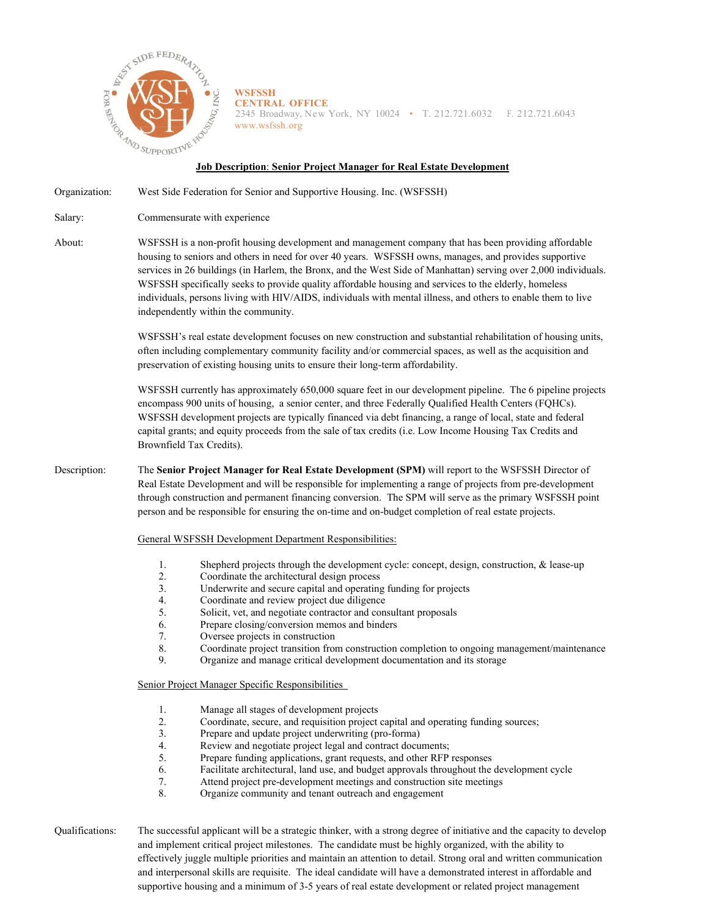

**WSFSSH CENTRAL OFFICE** 2345 Broadway, New York, NY 10024 • T. 212.721.6032 F. 212.721.6043 [www.wsfssh.org](http://www.wsfssh.org/)

## **Job Description**: **Senior Project Manager for Real Estate Development**

Organization: West Side Federation for Senior and Supportive Housing. Inc. (WSFSSH)

Salary: Commensurate with experience

About: WSFSSH is a non-profit housing development and management company that has been providing affordable housing to seniors and others in need for over 40 years. WSFSSH owns, manages, and provides supportive services in 26 buildings (in Harlem, the Bronx, and the West Side of Manhattan) serving over 2,000 individuals. WSFSSH specifically seeks to provide quality affordable housing and services to the elderly, homeless individuals, persons living with HIV/AIDS, individuals with mental illness, and others to enable them to live independently within the community.

> WSFSSH's real estate development focuses on new construction and substantial rehabilitation of housing units, often including complementary community facility and/or commercial spaces, as well as the acquisition and preservation of existing housing units to ensure their long-term affordability.

> WSFSSH currently has approximately 650,000 square feet in our development pipeline. The 6 pipeline projects encompass 900 units of housing, a senior center, and three Federally Qualified Health Centers (FQHCs). WSFSSH development projects are typically financed via debt financing, a range of local, state and federal capital grants; and equity proceeds from the sale of tax credits (i.e. Low Income Housing Tax Credits and Brownfield Tax Credits).

## Description: The **Senior Project Manager for Real Estate Development (SPM)** will report to the WSFSSH Director of Real Estate Development and will be responsible for implementing a range of projects from pre-development through construction and permanent financing conversion. The SPM will serve as the primary WSFSSH point person and be responsible for ensuring the on-time and on-budget completion of real estate projects.

## General WSFSSH Development Department Responsibilities:

- 1. Shepherd projects through the development cycle: concept, design, construction, & lease-up
- 2. Coordinate the architectural design process
- 3. Underwrite and secure capital and operating funding for projects 4. Coordinate and review project due diligence
- 4. Coordinate and review project due diligence<br>5. Solicit. vet. and negotiate contractor and con
- 5. Solicit, vet, and negotiate contractor and consultant proposals
- 6. Prepare closing/conversion memos and binders
- 7. Oversee projects in construction
- 8. Coordinate project transition from construction completion to ongoing management/maintenance
- 9. Organize and manage critical development documentation and its storage

Senior Project Manager Specific Responsibilities

- 1. Manage all stages of development projects<br>2. Coordinate, secure, and requisition project
- 2. Coordinate, secure, and requisition project capital and operating funding sources;
- 3. Prepare and update project underwriting (pro-forma)
- 4. Review and negotiate project legal and contract documents;
- 5. Prepare funding applications, grant requests, and other RFP responses
- 6. Facilitate architectural, land use, and budget approvals throughout the development cycle
- 7. Attend project pre-development meetings and construction site meetings
- 8. Organize community and tenant outreach and engagement

Qualifications: The successful applicant will be a strategic thinker, with a strong degree of initiative and the capacity to develop and implement critical project milestones. The candidate must be highly organized, with the ability to effectively juggle multiple priorities and maintain an attention to detail. Strong oral and written communication and interpersonal skills are requisite. The ideal candidate will have a demonstrated interest in affordable and supportive housing and a minimum of 3-5 years of real estate development or related project management